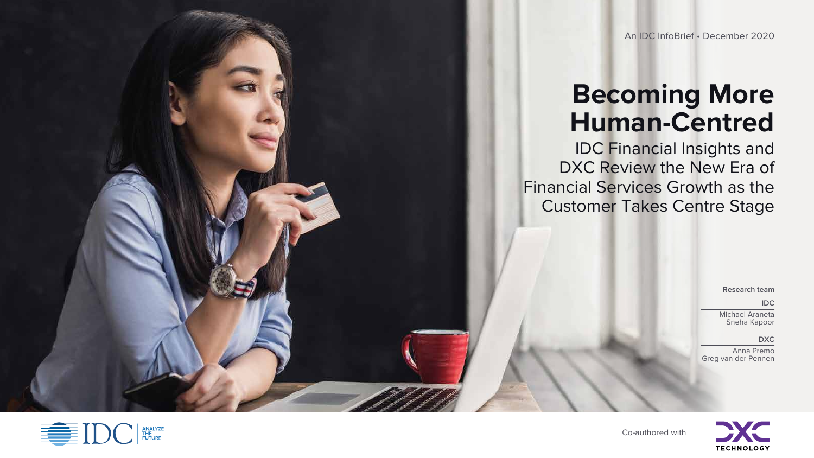Co-authored with

# **Becoming More Human-Centred**

IDC Financial Insights and DXC Review the New Era of Financial Services Growth as the Customer Takes Centre Stage





#### An IDC InfoBrief • December 2020

**Research team**

#### **IDC**

Michael Araneta Sneha Kapoor

#### **DXC**

Anna Premo Greg van der Pennen

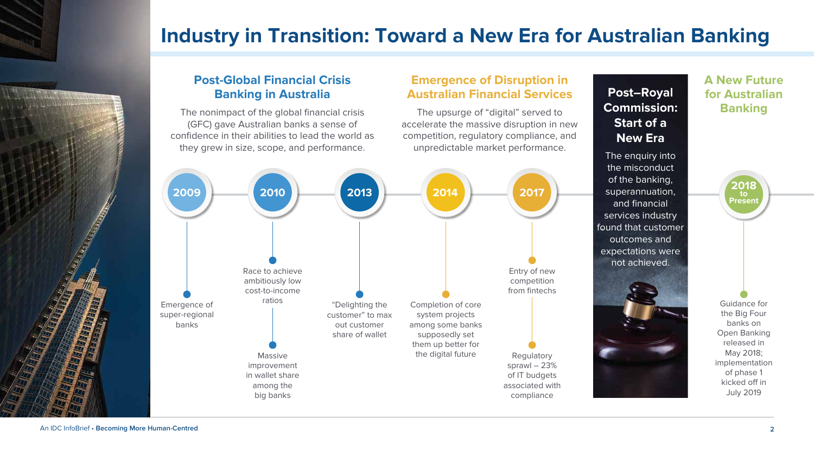## **Industry in Transition: Toward a New Era for Australian Banking**

## **Emergence of Disruption in Australian Financial Services**

The upsurge of "digital" served to **Commission: Banking** accelerate the massive disruption in new competition, regulatory compliance, and unpredictable market performance.

## **A New Future for Australian**



## **Post-Global Financial Crisis Banking in Australia**



The nonimpact of the global financial crisis (GFC) gave Australian banks a sense of confidence in their abilities to lead the world as they grew in size, scope, and performance.

> Guidance for the Big Four banks on Open Banking released in May 2018; implementation of phase 1 kicked off in July 2019

## **Post–Royal Commission: Start of a New Era**

The enquiry into the misconduct of the banking, superannuation, and financial services industry found that customer outcomes and expectations were not achieved.

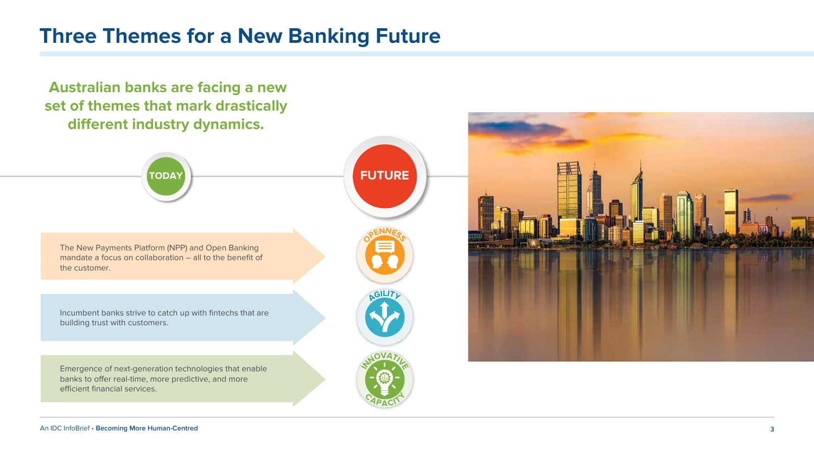## **Three Themes for a New Banking Future**





Emergence of next-generation technologies that enable banks to offer real-time, more predictive, and more efficient financial services.

 **Australian banks are facing a new set of themes that mark drastically**  different industry dynamics.



The New Payments Platform (NPP) and Open Banking mandate a focus on collaboration – all to the benefit of the customer.

Incumbent banks strive to catch up with fintechs that are building trust with customers.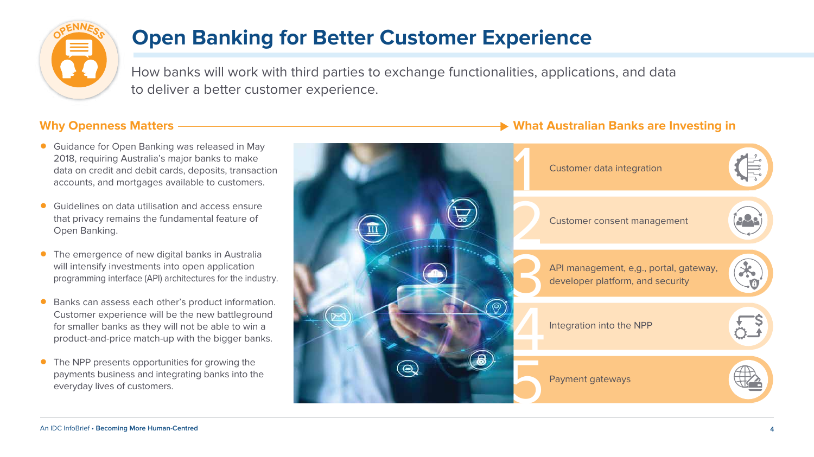# **Open Banking for Better Customer Experience**

How banks will work with third parties to exchange functionalities, applications, and data to deliver a better customer experience.

### **Why Openness Matters What Australian Banks are Investing in**



- Guidance for Open Banking was released in May 2018, requiring Australia's major banks to make data on credit and debit cards, deposits, transaction accounts, and mortgages available to customers.
- Guidelines on data utilisation and access ensure that privacy remains the fundamental feature of Open Banking.
- The emergence of new digital banks in Australia will intensify investments into open application programming interface (API) architectures for the industry.
- Banks can assess each other's product information. Customer experience will be the new battleground for smaller banks as they will not be able to win a product-and-price match-up with the bigger banks.
- The NPP presents opportunities for growing the payments business and integrating banks into the everyday lives of customers.



 $\frac{1}{2}$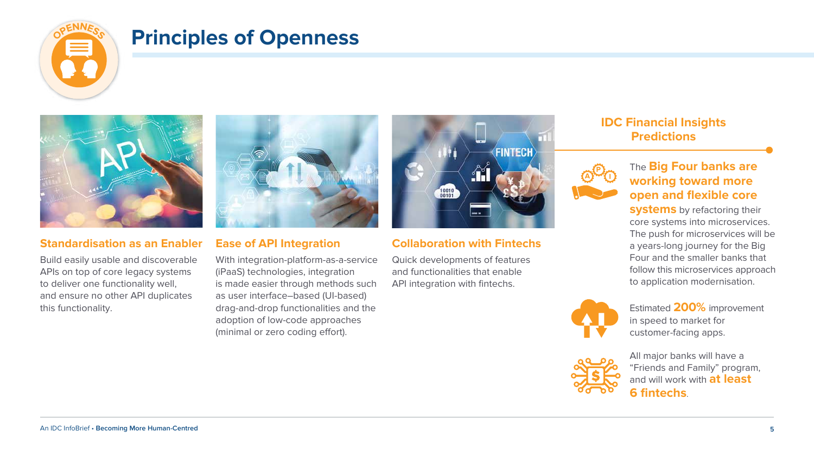## **Principles of Openness**



## **IDC Financial Insights Predictions**

### **Standardisation as an Enabler**

With integration-platform-as-a-service (iPaaS) technologies, integration is made easier through methods such as user interface–based (UI-based) drag-and-drop functionalities and the adoption of low-code approaches (minimal or zero coding effort).



Build easily usable and discoverable APIs on top of core legacy systems to deliver one functionality well, and ensure no other API duplicates this functionality.



#### **Ease of API Integration**

**systems** by refactoring their core systems into microservices. The push for microservices will be a years-long journey for the Big Four and the smaller banks that follow this microservices approach to application modernisation.

### The **Big Four banks are working toward more open and flexible core**

### **Collaboration with Fintechs**

Quick developments of features and functionalities that enable API integration with fintechs.

> All major banks will have a "Friends and Family" program, and will work with **at least 6 fintechs**.



Estimated **200%** improvement in speed to market for customer-facing apps.

**A**







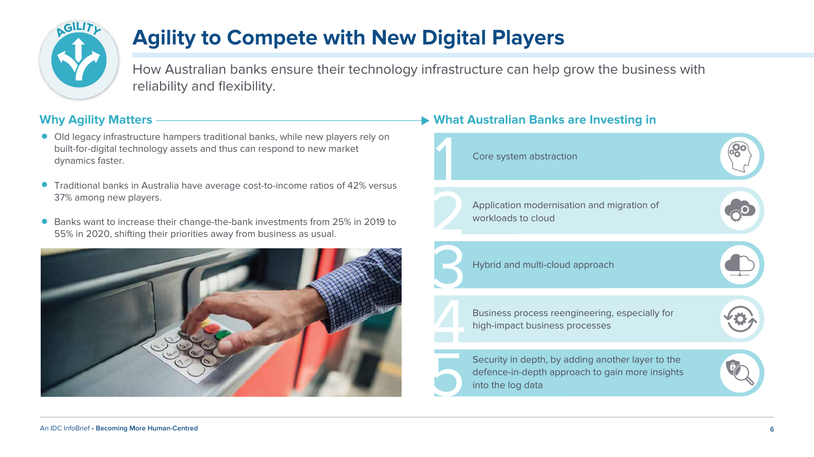How Australian banks ensure their technology infrastructure can help grow the business with reliability and flexibility.

# **Agility to Compete with New Digital Players**

### **Why Agility Matters**





- Old legacy infrastructure hampers traditional banks, while new players rely on built-for-digital technology assets and thus can respond to new market dynamics faster.
- Traditional banks in Australia have average cost-to-income ratios of 42% versus 37% among new players.
- Banks want to increase their change-the-bank investments from 25% in 2019 to 55% in 2020, shifting their priorities away from business as usual.



| on of                       |  |
|-----------------------------|--|
|                             |  |
| ecially for                 |  |
| ayer to the<br>ore insights |  |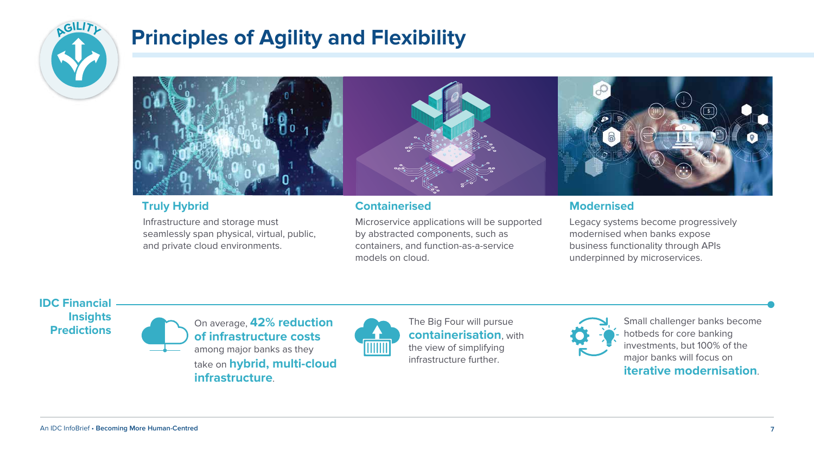

# **Principles of Agility and Flexibility**



### **IDC Financial Insights Predictions**

Infrastructure and storage must seamlessly span physical, virtual, public, and private cloud environments.



Microservice applications will be supported by abstracted components, such as containers, and function-as-a-service models on cloud.

On average, **42% reduction of infrastructure costs** among major banks as they take on **hybrid, multi-cloud infrastructure**.



#### The Big Four will pursue **containerisation**, with the view of simplifying infrastructure further.



Small challenger banks become hotbeds for core banking investments, but 100% of the major banks will focus on **iterative modernisation**.

Legacy systems become progressively modernised when banks expose business functionality through APIs underpinned by microservices.

### **Truly Hybrid Containerised Modernised**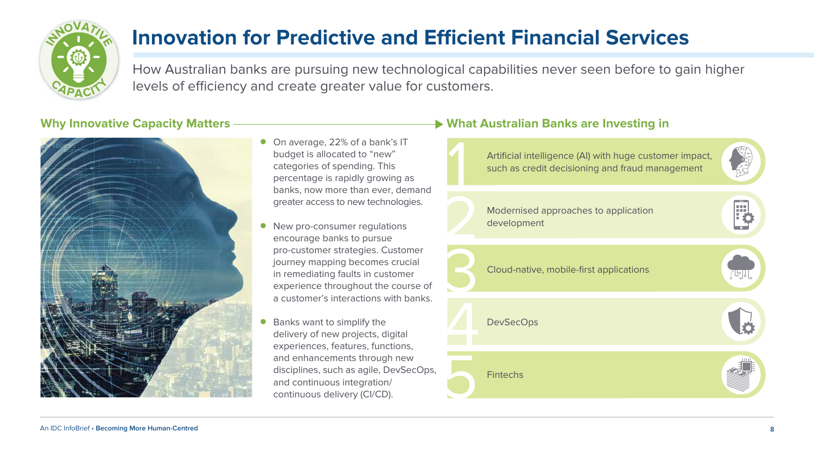

- On average, 22% of a bank's IT budget is allocated to "new" categories of spending. This percentage is rapidly growing as banks, now more than ever, demand greater access to new technologies.
- New pro-consumer regulations encourage banks to pursue pro-customer strategies. Customer journey mapping becomes crucial in remediating faults in customer experience throughout the course of a customer's interactions with banks.
- Banks want to simplify the delivery of new projects, digital experiences, features, functions, and enhancements through new disciplines, such as agile, DevSecOps, and continuous integration/ continuous delivery (CI/CD).

## Why Innovative Capacity Matters ———————————————— What Australian Banks are Investing in

How Australian banks are pursuing new technological capabilities never seen before to gain higher levels of efficiency and create greater value for customers.





# **Innovation for Predictive and Efficient Financial Services**

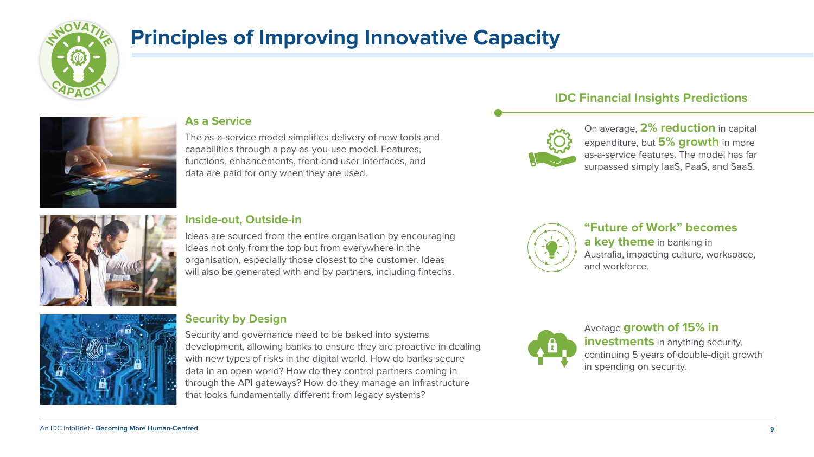### **IDC Financial Insights Predictions**

### **As a Service**

The as-a-service model simplifies delivery of new tools and capabilities through a pay-as-you-use model. Features, functions, enhancements, front-end user interfaces, and data are paid for only when they are used.

### **Inside-out, Outside-in**

Ideas are sourced from the entire organisation by encouraging ideas not only from the top but from everywhere in the organisation, especially those closest to the customer. Ideas will also be generated with and by partners, including fintechs.





**investments** in anything security, continuing 5 years of double-digit growth in spending on security.

Security and governance need to be baked into systems development, allowing banks to ensure they are proactive in dealing with new types of risks in the digital world. How do banks secure data in an open world? How do they control partners coming in through the API gateways? How do they manage an infrastructure that looks fundamentally different from legacy systems?



On average, **2% reduction** in capital expenditure, but **5% growth** in more as-a-service features. The model has far surpassed simply IaaS, PaaS, and SaaS.



### **"Future of Work" becomes**

**a key theme** in banking in Australia, impacting culture, workspace,

and workforce.



#### Average **growth of 15% in**

### **Security by Design**



# **Principles of Improving Innovative Capacity**

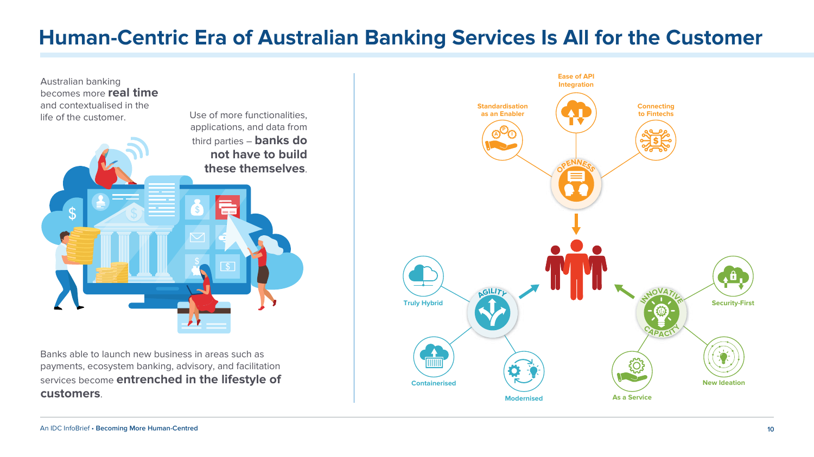Banks able to launch new business in areas such as payments, ecosystem banking, advisory, and facilitation services become **entrenched in the lifestyle of customers**.

## **Human-Centric Era of Australian Banking Services Is All for the Customer**



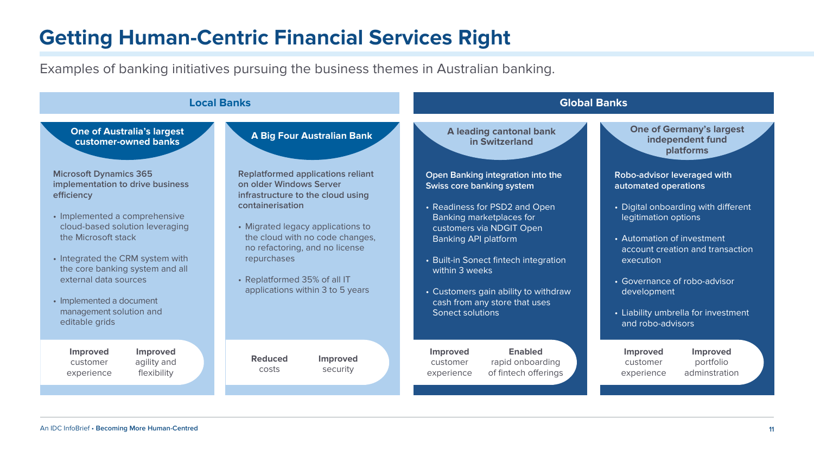# **Getting Human-Centric Financial Services Right**

Examples of banking initiatives pursuing the business themes in Australian banking.

**One of Germany's largest independent fund platforms**

• Digital onboarding with different legitimation options



**Robo-advisor leveraged with automated operations**

• Automation of investment account creation and transaction execution

• Governance of robo-advisor development

• Liability umbrella for investment and robo-advisors

**Improved**  customer experience

**Improved** portfolio adminstration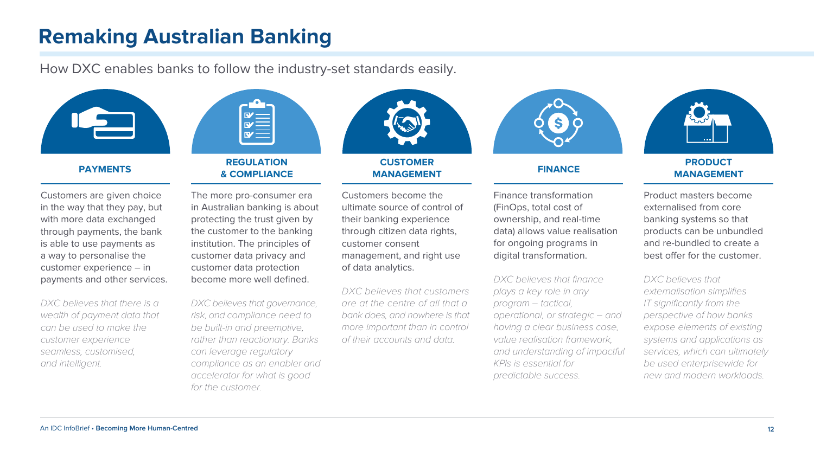#### **PAYMENTS**

**REGULATION** 



**CUSTOMER MANAGEMENT FINANCE**

#### **PRODUCT MANAGEMENT**

Customers are given choice in the way that they pay, but with more data exchanged through payments, the bank is able to use payments as a way to personalise the customer experience – in payments and other services.

**& COMPLIANCE** The more pro-consumer era

DXC believes that there is a wealth of payment data that can be used to make the customer experience seamless, customised, and intelligent.

DXC believes that governance, risk, and compliance need to be built-in and preemptive, rather than reactionary. Banks can leverage regulatory compliance as an enabler and accelerator for what is good for the customer.

in Australian banking is about protecting the trust given by the customer to the banking institution. The principles of customer data privacy and customer data protection become more well defined.

> DXC believes that customers are at the centre of all that a bank does, and nowhere is that more important than in control of their accounts and data.



DXC believes that finance plays a key role in any program – tactical, operational, or strategic – and having a clear business case, value realisation framework, and understanding of impactful KPIs is essential for predictable success.

Product masters become externalised from core banking systems so that products can be unbundled and re-bundled to create a best offer for the customer.

Customers become the ultimate source of control of their banking experience through citizen data rights, customer consent management, and right use of data analytics.

Finance transformation (FinOps, total cost of ownership, and real-time data) allows value realisation for ongoing programs in digital transformation.

> DXC believes that externalisation simplifies IT significantly from the perspective of how banks expose elements of existing systems and applications as services, which can ultimately be used enterprisewide for new and modern workloads.

## **Remaking Australian Banking**



How DXC enables banks to follow the industry-set standards easily.